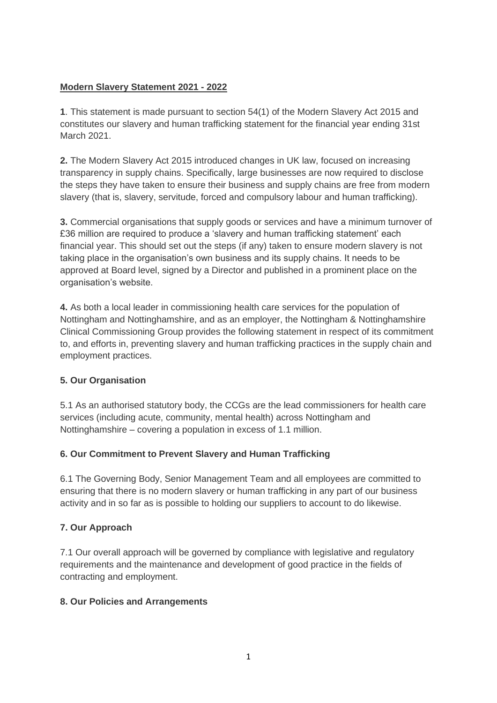## **Modern Slavery Statement 2021 - 2022**

**1**. This statement is made pursuant to section 54(1) of the Modern Slavery Act 2015 and constitutes our slavery and human trafficking statement for the financial year ending 31st March 2021.

**2.** The Modern Slavery Act 2015 introduced changes in UK law, focused on increasing transparency in supply chains. Specifically, large businesses are now required to disclose the steps they have taken to ensure their business and supply chains are free from modern slavery (that is, slavery, servitude, forced and compulsory labour and human trafficking).

**3.** Commercial organisations that supply goods or services and have a minimum turnover of £36 million are required to produce a 'slavery and human trafficking statement' each financial year. This should set out the steps (if any) taken to ensure modern slavery is not taking place in the organisation's own business and its supply chains. It needs to be approved at Board level, signed by a Director and published in a prominent place on the organisation's website.

**4.** As both a local leader in commissioning health care services for the population of Nottingham and Nottinghamshire, and as an employer, the Nottingham & Nottinghamshire Clinical Commissioning Group provides the following statement in respect of its commitment to, and efforts in, preventing slavery and human trafficking practices in the supply chain and employment practices.

# **5. Our Organisation**

5.1 As an authorised statutory body, the CCGs are the lead commissioners for health care services (including acute, community, mental health) across Nottingham and Nottinghamshire – covering a population in excess of 1.1 million.

# **6. Our Commitment to Prevent Slavery and Human Trafficking**

6.1 The Governing Body, Senior Management Team and all employees are committed to ensuring that there is no modern slavery or human trafficking in any part of our business activity and in so far as is possible to holding our suppliers to account to do likewise.

# **7. Our Approach**

7.1 Our overall approach will be governed by compliance with legislative and regulatory requirements and the maintenance and development of good practice in the fields of contracting and employment.

### **8. Our Policies and Arrangements**